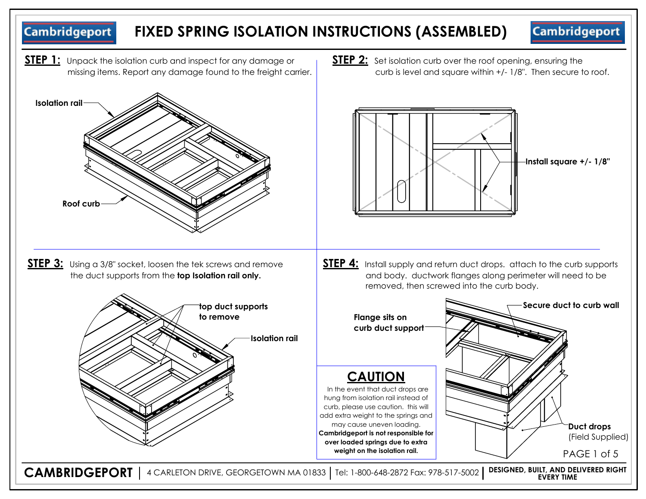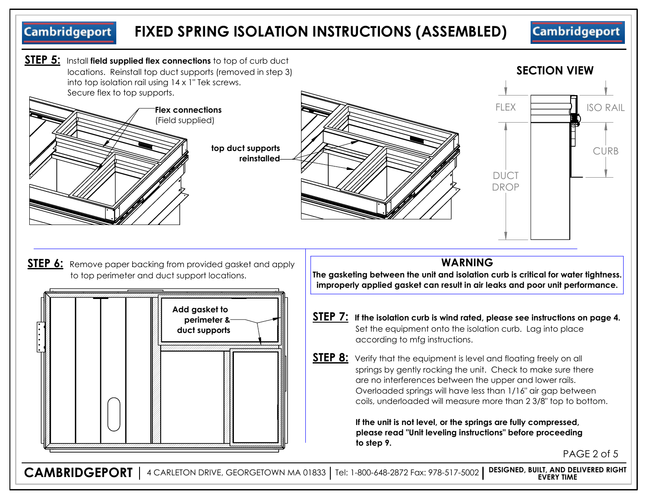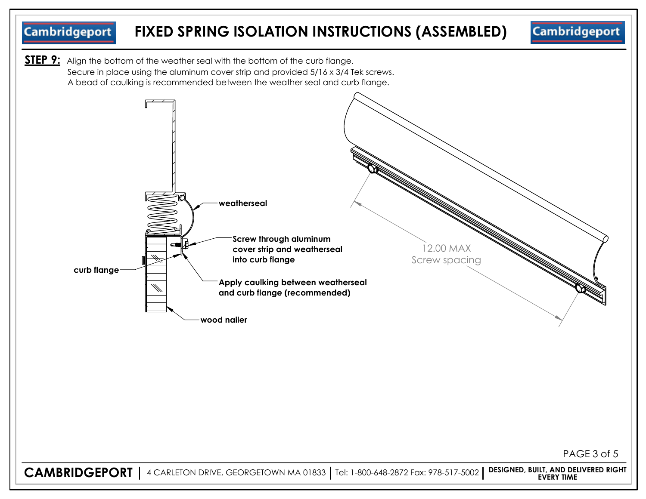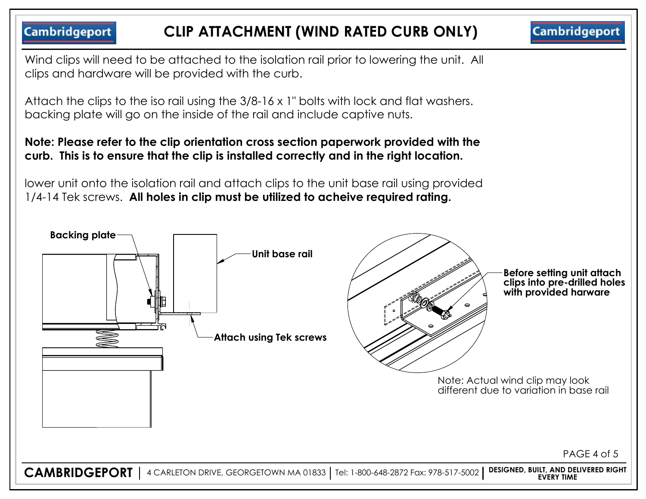**Cambridgeport CLIP ATTACHMENT (WIND RATED CURB ONLY) Cambridgeport** Wind clips will need to be attached to the isolation rail prior to lowering the unit. All clips and hardware will be provided with the curb. Attach the clips to the iso rail using the 3/8-16 x 1" bolts with lock and flat washers. backing plate will go on the inside of the rail and include captive nuts. **Note: Please refer to the clip orientation cross section paperwork provided with the curb. This is to ensure that the clip is installed correctly and in the right location.**  lower unit onto the isolation rail and attach clips to the unit base rail using provided 1/4-14 Tek screws. **All holes in clip must be utilized to acheive required rating. Backing plate Unit base rail Before setting unit attach clips into pre-drilled holes with provided harware Attach using Tek screws** Note: Actual wind clip may look different due to variation in base rail PAGE 4 of 5**CAMBRIDGEPORT** 4 CARLETON DRIVE, GEORGETOWN MA 01833 Tel: 1-800-648-2872 Fax: 978-517-5002 **DESIGNED, BUILT, AND DELIVERED RIGHT EVERY TIME**